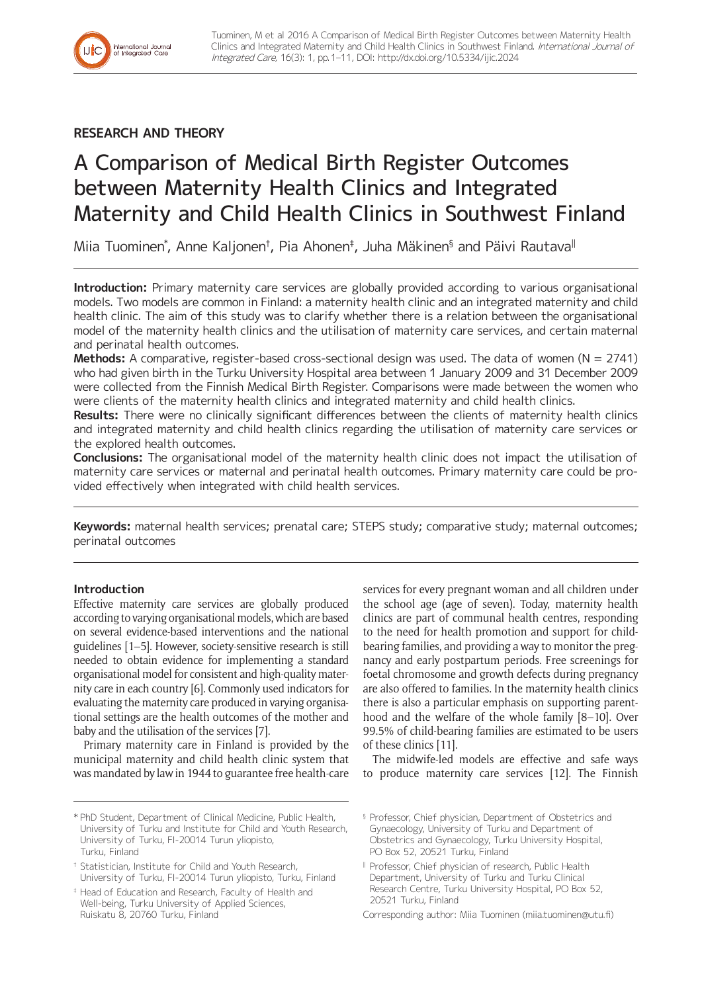## **RESEARCH AND THEORY**

International Journal<br>of Integrated Care

# A Comparison of Medical Birth Register Outcomes between Maternity Health Clinics and Integrated Maternity and Child Health Clinics in Southwest Finland

Miia Tuominen\*, Anne Kaljonen†, Pia Ahonen‡, Juha Mäkinen§ and Päivi Rautava<sup>∥</sup>

**Introduction:** Primary maternity care services are globally provided according to various organisational models. Two models are common in Finland: a maternity health clinic and an integrated maternity and child health clinic. The aim of this study was to clarify whether there is a relation between the organisational model of the maternity health clinics and the utilisation of maternity care services, and certain maternal and perinatal health outcomes.

**Methods:** A comparative, register-based cross-sectional design was used. The data of women (N = 2741) who had given birth in the Turku University Hospital area between 1 January 2009 and 31 December 2009 were collected from the Finnish Medical Birth Register. Comparisons were made between the women who were clients of the maternity health clinics and integrated maternity and child health clinics.

**Results:** There were no clinically significant differences between the clients of maternity health clinics and integrated maternity and child health clinics regarding the utilisation of maternity care services or the explored health outcomes.

**Conclusions:** The organisational model of the maternity health clinic does not impact the utilisation of maternity care services or maternal and perinatal health outcomes. Primary maternity care could be provided effectively when integrated with child health services.

**Keywords:** maternal health services; prenatal care; STEPS study; comparative study; maternal outcomes; perinatal outcomes

## **Introduction**

Effective maternity care services are globally produced according to varying organisational models, which are based on several evidence-based interventions and the national guidelines [1–5]. However, society-sensitive research is still needed to obtain evidence for implementing a standard organisational model for consistent and high-quality maternity care in each country [6]. Commonly used indicators for evaluating the maternity care produced in varying organisational settings are the health outcomes of the mother and baby and the utilisation of the services [7].

Primary maternity care in Finland is provided by the municipal maternity and child health clinic system that was mandated by law in 1944 to guarantee free health-care

\* PhD Student, Department of Clinical Medicine, Public Health, University of Turku and Institute for Child and Youth Research, University of Turku, FI-20014 Turun yliopisto, Turku, Finland

† Statistician, Institute for Child and Youth Research, University of Turku, FI-20014 Turun yliopisto, Turku, Finland

‡ Head of Education and Research, Faculty of Health and Well-being, Turku University of Applied Sciences, Ruiskatu 8, 20760 Turku, Finland

services for every pregnant woman and all children under the school age (age of seven). Today, maternity health clinics are part of communal health centres, responding to the need for health promotion and support for childbearing families, and providing a way to monitor the pregnancy and early postpartum periods. Free screenings for foetal chromosome and growth defects during pregnancy are also offered to families. In the maternity health clinics there is also a particular emphasis on supporting parenthood and the welfare of the whole family [8–10]. Over 99.5% of child-bearing families are estimated to be users of these clinics [11].

The midwife-led models are effective and safe ways to produce maternity care services [12]. The Finnish

Corresponding author: Miia Tuominen ([miia.tuominen@utu.fi](mailto:miia.tuominen@utu.fi))

<sup>§</sup> Professor, Chief physician, Department of Obstetrics and Gynaecology, University of Turku and Department of Obstetrics and Gynaecology, Turku University Hospital, PO Box 52, 20521 Turku, Finland

<sup>ǁ</sup> Professor, Chief physician of research, Public Health Department, University of Turku and Turku Clinical Research Centre, Turku University Hospital, PO Box 52, 20521 Turku, Finland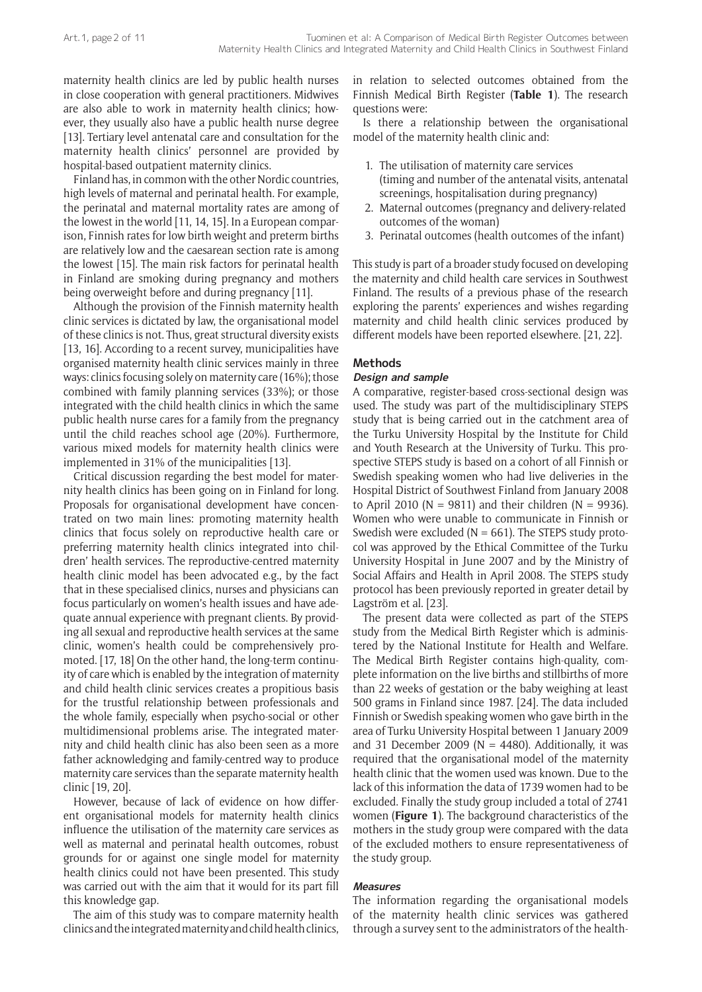maternity health clinics are led by public health nurses in close cooperation with general practitioners. Midwives are also able to work in maternity health clinics; however, they usually also have a public health nurse degree [13]. Tertiary level antenatal care and consultation for the maternity health clinics' personnel are provided by hospital-based outpatient maternity clinics.

Finland has, in common with the other Nordic countries, high levels of maternal and perinatal health. For example, the perinatal and maternal mortality rates are among of the lowest in the world [11, 14, 15]. In a European comparison, Finnish rates for low birth weight and preterm births are relatively low and the caesarean section rate is among the lowest [15]. The main risk factors for perinatal health in Finland are smoking during pregnancy and mothers being overweight before and during pregnancy [11].

Although the provision of the Finnish maternity health clinic services is dictated by law, the organisational model of these clinics is not. Thus, great structural diversity exists [13, 16]. According to a recent survey, municipalities have organised maternity health clinic services mainly in three ways: clinics focusing solely on maternity care (16%); those combined with family planning services (33%); or those integrated with the child health clinics in which the same public health nurse cares for a family from the pregnancy until the child reaches school age (20%). Furthermore, various mixed models for maternity health clinics were implemented in 31% of the municipalities [13].

Critical discussion regarding the best model for maternity health clinics has been going on in Finland for long. Proposals for organisational development have concentrated on two main lines: promoting maternity health clinics that focus solely on reproductive health care or preferring maternity health clinics integrated into children' health services. The reproductive-centred maternity health clinic model has been advocated e.g., by the fact that in these specialised clinics, nurses and physicians can focus particularly on women's health issues and have adequate annual experience with pregnant clients. By providing all sexual and reproductive health services at the same clinic, women's health could be comprehensively promoted. [17, 18] On the other hand, the long-term continuity of care which is enabled by the integration of maternity and child health clinic services creates a propitious basis for the trustful relationship between professionals and the whole family, especially when psycho-social or other multidimensional problems arise. The integrated maternity and child health clinic has also been seen as a more father acknowledging and family-centred way to produce maternity care services than the separate maternity health clinic [19, 20].

However, because of lack of evidence on how different organisational models for maternity health clinics influence the utilisation of the maternity care services as well as maternal and perinatal health outcomes, robust grounds for or against one single model for maternity health clinics could not have been presented. This study was carried out with the aim that it would for its part fill this knowledge gap.

The aim of this study was to compare maternity health clinics and the integrated maternity and child health clinics, in relation to selected outcomes obtained from the Finnish Medical Birth Register (**Table 1**). The research questions were:

Is there a relationship between the organisational model of the maternity health clinic and:

- 1. The utilisation of maternity care services (timing and number of the antenatal visits, antenatal screenings, hospitalisation during pregnancy)
- 2. Maternal outcomes (pregnancy and delivery-related outcomes of the woman)
- 3. Perinatal outcomes (health outcomes of the infant)

This study is part of a broader study focused on developing the maternity and child health care services in Southwest Finland. The results of a previous phase of the research exploring the parents' experiences and wishes regarding maternity and child health clinic services produced by different models have been reported elsewhere. [21, 22].

## **Methods**

## **Design and sample**

A comparative, register-based cross-sectional design was used. The study was part of the multidisciplinary STEPS study that is being carried out in the catchment area of the Turku University Hospital by the Institute for Child and Youth Research at the University of Turku. This prospective STEPS study is based on a cohort of all Finnish or Swedish speaking women who had live deliveries in the Hospital District of Southwest Finland from January 2008 to April 2010 ( $N = 9811$ ) and their children ( $N = 9936$ ). Women who were unable to communicate in Finnish or Swedish were excluded ( $N = 661$ ). The STEPS study protocol was approved by the Ethical Committee of the Turku University Hospital in June 2007 and by the Ministry of Social Affairs and Health in April 2008. The STEPS study protocol has been previously reported in greater detail by Lagström et al. [23].

The present data were collected as part of the STEPS study from the Medical Birth Register which is administered by the National Institute for Health and Welfare. The Medical Birth Register contains high-quality, complete information on the live births and stillbirths of more than 22 weeks of gestation or the baby weighing at least 500 grams in Finland since 1987. [24]. The data included Finnish or Swedish speaking women who gave birth in the area of Turku University Hospital between 1 January 2009 and 31 December 2009 ( $N = 4480$ ). Additionally, it was required that the organisational model of the maternity health clinic that the women used was known. Due to the lack of this information the data of 1739 women had to be excluded. Finally the study group included a total of 2741 women (**Figure 1**). The background characteristics of the mothers in the study group were compared with the data of the excluded mothers to ensure representativeness of the study group.

#### **Measures**

The information regarding the organisational models of the maternity health clinic services was gathered through a survey sent to the administrators of the health-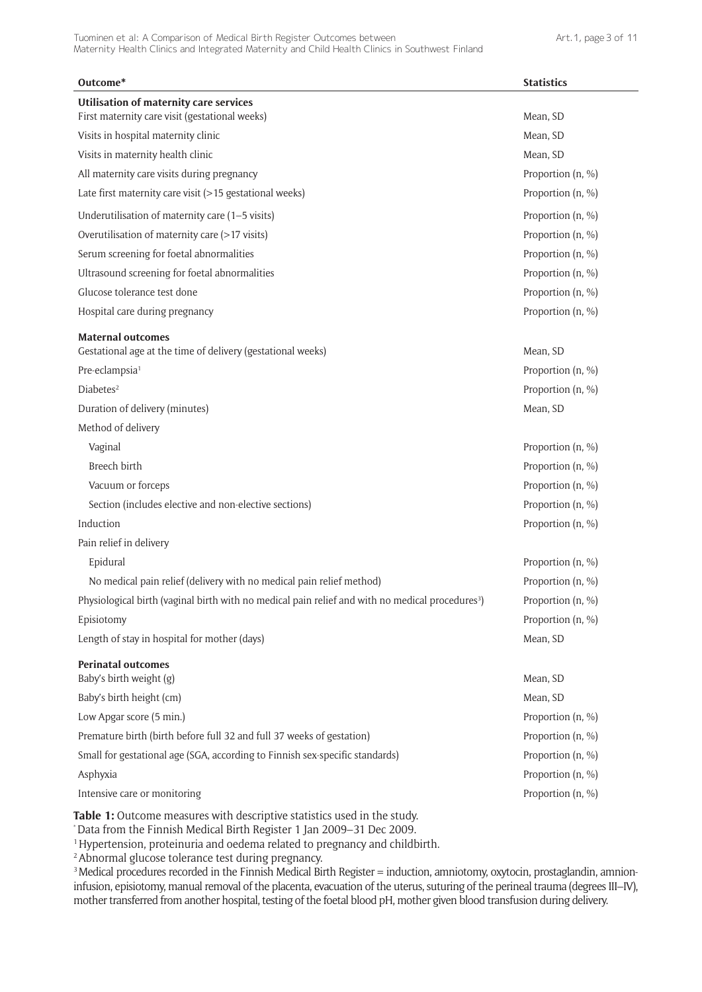| Outcome*                                                                                                     | <b>Statistics</b> |
|--------------------------------------------------------------------------------------------------------------|-------------------|
| <b>Utilisation of maternity care services</b><br>First maternity care visit (gestational weeks)              | Mean, SD          |
| Visits in hospital maternity clinic                                                                          | Mean, SD          |
| Visits in maternity health clinic                                                                            | Mean, SD          |
| All maternity care visits during pregnancy                                                                   | Proportion (n, %) |
| Late first maternity care visit (>15 gestational weeks)                                                      | Proportion (n, %) |
| Underutilisation of maternity care (1-5 visits)                                                              | Proportion (n, %) |
| Overutilisation of maternity care (>17 visits)                                                               | Proportion (n, %) |
| Serum screening for foetal abnormalities                                                                     | Proportion (n, %) |
| Ultrasound screening for foetal abnormalities                                                                | Proportion (n, %) |
| Glucose tolerance test done                                                                                  | Proportion (n, %) |
| Hospital care during pregnancy                                                                               | Proportion (n, %) |
| <b>Maternal outcomes</b>                                                                                     |                   |
| Gestational age at the time of delivery (gestational weeks)                                                  | Mean, SD          |
| Pre-eclampsia <sup>1</sup><br>Diabetes <sup>2</sup>                                                          | Proportion (n, %) |
|                                                                                                              | Proportion (n, %) |
| Duration of delivery (minutes)                                                                               | Mean, SD          |
| Method of delivery                                                                                           |                   |
| Vaginal                                                                                                      | Proportion (n, %) |
| Breech birth                                                                                                 | Proportion (n, %) |
| Vacuum or forceps                                                                                            | Proportion (n, %) |
| Section (includes elective and non-elective sections)                                                        | Proportion (n, %) |
| Induction                                                                                                    | Proportion (n, %) |
| Pain relief in delivery                                                                                      |                   |
| Epidural                                                                                                     | Proportion (n, %) |
| No medical pain relief (delivery with no medical pain relief method)                                         | Proportion (n, %) |
| Physiological birth (vaginal birth with no medical pain relief and with no medical procedures <sup>3</sup> ) | Proportion (n, %) |
| Episiotomy                                                                                                   | Proportion (n, %) |
| Length of stay in hospital for mother (days)                                                                 | Mean, SD          |
| <b>Perinatal outcomes</b><br>Baby's birth weight (g)                                                         | Mean, SD          |
| Baby's birth height (cm)                                                                                     | Mean, SD          |
| Low Apgar score (5 min.)                                                                                     | Proportion (n, %) |
| Premature birth (birth before full 32 and full 37 weeks of gestation)                                        | Proportion (n, %) |
| Small for gestational age (SGA, according to Finnish sex-specific standards)                                 |                   |
|                                                                                                              | Proportion (n, %) |
| Asphyxia                                                                                                     | Proportion (n, %) |
| Intensive care or monitoring                                                                                 | Proportion (n, %) |

**Table 1:** Outcome measures with descriptive statistics used in the study.

\* Data from the Finnish Medical Birth Register 1 Jan 2009–31 Dec 2009.

<sup>1</sup> Hypertension, proteinuria and oedema related to pregnancy and childbirth.

<sup>2</sup> Abnormal glucose tolerance test during pregnancy.

<sup>3</sup> Medical procedures recorded in the Finnish Medical Birth Register = induction, amniotomy, oxytocin, prostaglandin, amnioninfusion, episiotomy, manual removal of the placenta, evacuation of the uterus, suturing of the perineal trauma (degrees III–IV), mother transferred from another hospital, testing of the foetal blood pH, mother given blood transfusion during delivery.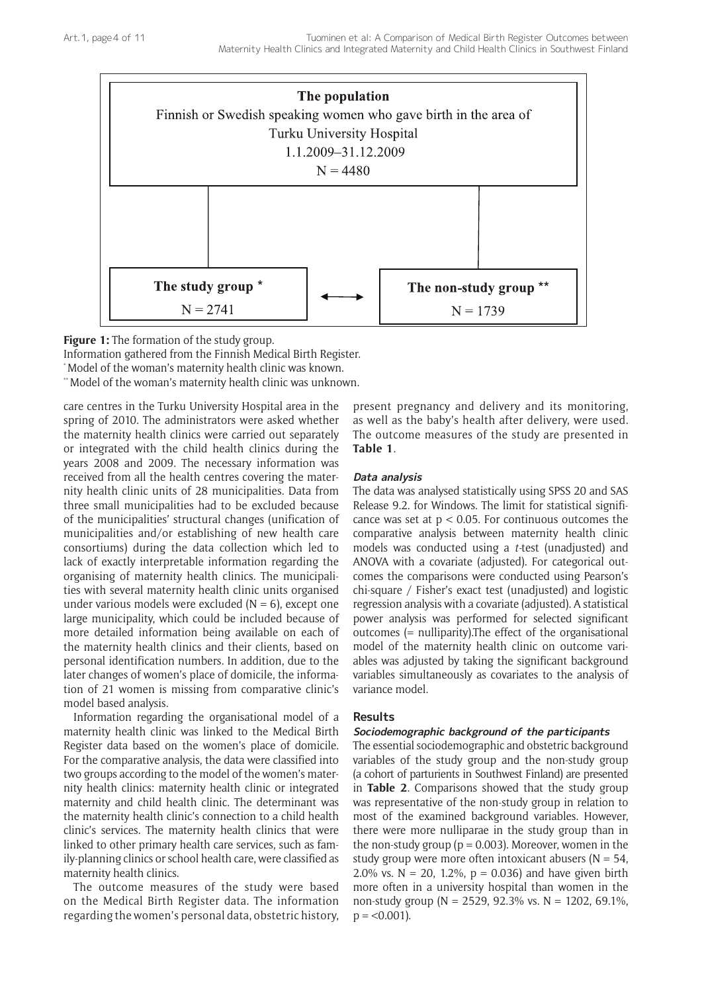

**Figure 1:** The formation of the study group.

Information gathered from the Finnish Medical Birth Register.

\* Model of the woman's maternity health clinic was known.

\*\* Model of the woman's maternity health clinic was unknown.

care centres in the Turku University Hospital area in the spring of 2010. The administrators were asked whether the maternity health clinics were carried out separately or integrated with the child health clinics during the years 2008 and 2009. The necessary information was received from all the health centres covering the maternity health clinic units of 28 municipalities. Data from three small municipalities had to be excluded because of the municipalities' structural changes (unification of municipalities and/or establishing of new health care consortiums) during the data collection which led to lack of exactly interpretable information regarding the organising of maternity health clinics. The municipalities with several maternity health clinic units organised under various models were excluded  $(N = 6)$ , except one large municipality, which could be included because of more detailed information being available on each of the maternity health clinics and their clients, based on personal identification numbers. In addition, due to the later changes of women's place of domicile, the information of 21 women is missing from comparative clinic's model based analysis.

Information regarding the organisational model of a maternity health clinic was linked to the Medical Birth Register data based on the women's place of domicile. For the comparative analysis, the data were classified into two groups according to the model of the women's maternity health clinics: maternity health clinic or integrated maternity and child health clinic. The determinant was the maternity health clinic's connection to a child health clinic's services. The maternity health clinics that were linked to other primary health care services, such as family-planning clinics or school health care, were classified as maternity health clinics.

The outcome measures of the study were based on the Medical Birth Register data. The information regarding the women's personal data, obstetric history,

present pregnancy and delivery and its monitoring, as well as the baby's health after delivery, were used. The outcome measures of the study are presented in **Table 1**.

#### **Data analysis**

The data was analysed statistically using SPSS 20 and SAS Release 9.2. for Windows. The limit for statistical significance was set at  $p < 0.05$ . For continuous outcomes the comparative analysis between maternity health clinic models was conducted using a *t-*test (unadjusted) and ANOVA with a covariate (adjusted). For categorical outcomes the comparisons were conducted using Pearson's chi-square / Fisher's exact test (unadjusted) and logistic regression analysis with a covariate (adjusted). A statistical power analysis was performed for selected significant outcomes (= nulliparity).The effect of the organisational model of the maternity health clinic on outcome variables was adjusted by taking the significant background variables simultaneously as covariates to the analysis of variance model.

## **Results**

## **Sociodemographic background of the participants**

The essential sociodemographic and obstetric background variables of the study group and the non-study group (a cohort of parturients in Southwest Finland) are presented in **Table 2**. Comparisons showed that the study group was representative of the non-study group in relation to most of the examined background variables. However, there were more nulliparae in the study group than in the non-study group ( $p = 0.003$ ). Moreover, women in the study group were more often intoxicant abusers ( $N = 54$ , 2.0% vs.  $N = 20$ , 1.2%,  $p = 0.036$ ) and have given birth more often in a university hospital than women in the non-study group (N = 2529, 92.3% vs. N = 1202, 69.1%,  $p = < 0.001$ ).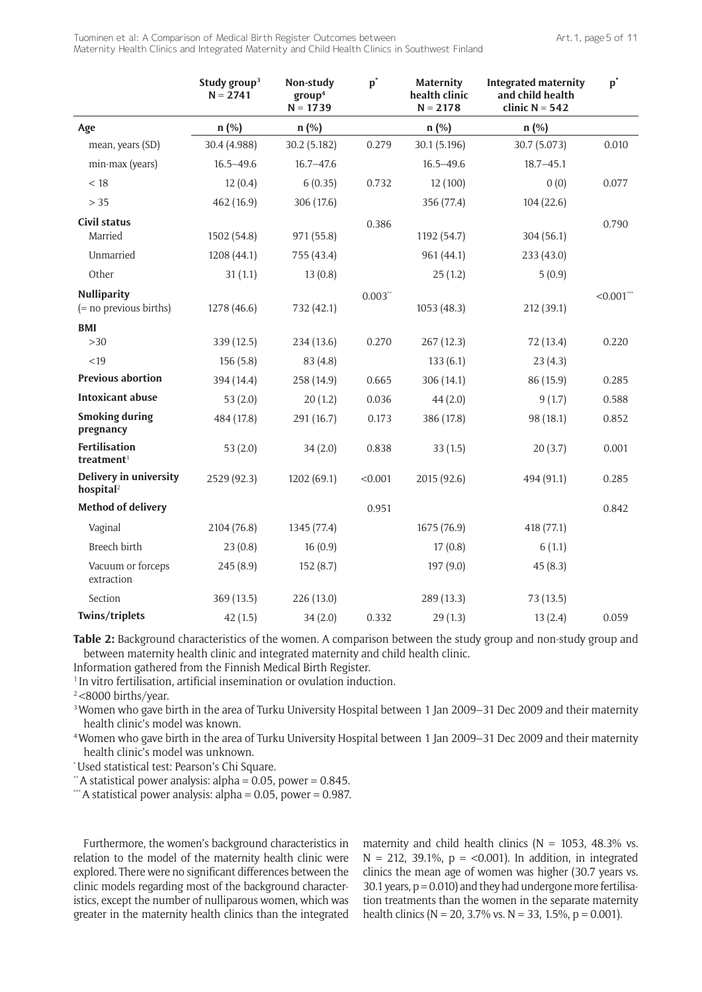Tuominen et al: A Comparison of Medical Birth Register Outcomes between Maternity Health Clinics and Integrated Maternity and Child Health Clinics in Southwest Finland

|                                                   | Study group <sup>3</sup><br>$N = 2741$ | Non-study<br>group <sup>4</sup><br>$N = 1739$ | $\mathbf{p}^*$ | <b>Maternity</b><br>health clinic<br>$N = 2178$ | <b>Integrated maternity</b><br>and child health<br>clinic $N = 542$ | $\mathbf{p}^*$ |
|---------------------------------------------------|----------------------------------------|-----------------------------------------------|----------------|-------------------------------------------------|---------------------------------------------------------------------|----------------|
| Age                                               | n (%)                                  | n (%)                                         |                | n (%)                                           | n (%)                                                               |                |
| mean, years (SD)                                  | 30.4 (4.988)                           | 30.2 (5.182)                                  | 0.279          | 30.1 (5.196)                                    | 30.7 (5.073)                                                        | 0.010          |
| min-max (years)                                   | $16.5 - 49.6$                          | $16.7 - 47.6$                                 |                | $16.5 - 49.6$                                   | $18.7 - 45.1$                                                       |                |
| < 18                                              | 12(0.4)                                | 6(0.35)                                       | 0.732          | 12 (100)                                        | 0(0)                                                                | 0.077          |
| $>35$                                             | 462 (16.9)                             | 306 (17.6)                                    |                | 356 (77.4)                                      | 104(22.6)                                                           |                |
| <b>Civil status</b><br>Married                    | 1502 (54.8)                            | 971 (55.8)                                    | 0.386          | 1192 (54.7)                                     | 304 (56.1)                                                          | 0.790          |
| Unmarried                                         | 1208 (44.1)                            | 755 (43.4)                                    |                | 961 (44.1)                                      | 233 (43.0)                                                          |                |
| Other                                             | 31(1.1)                                | 13(0.8)                                       |                | 25(1.2)                                         | 5(0.9)                                                              |                |
| <b>Nulliparity</b><br>$(=$ no previous births)    | 1278 (46.6)                            | 732 (42.1)                                    | $0.003**$      | 1053 (48.3)                                     | 212 (39.1)                                                          | $< 0.001$ ***  |
| <b>BMI</b>                                        |                                        |                                               |                |                                                 |                                                                     |                |
| >30                                               | 339 (12.5)                             | 234 (13.6)                                    | 0.270          | 267(12.3)                                       | 72 (13.4)                                                           | 0.220          |
| < 19                                              | 156(5.8)                               | 83 (4.8)                                      |                | 133(6.1)                                        | 23(4.3)                                                             |                |
| <b>Previous abortion</b>                          | 394 (14.4)                             | 258 (14.9)                                    | 0.665          | 306 (14.1)                                      | 86 (15.9)                                                           | 0.285          |
| <b>Intoxicant abuse</b>                           | 53 $(2.0)$                             | 20(1.2)                                       | 0.036          | 44(2.0)                                         | 9(1.7)                                                              | 0.588          |
| <b>Smoking during</b><br>pregnancy                | 484 (17.8)                             | 291 (16.7)                                    | 0.173          | 386 (17.8)                                      | 98 (18.1)                                                           | 0.852          |
| <b>Fertilisation</b><br>$t$ reatment <sup>1</sup> | 53(2.0)                                | 34(2.0)                                       | 0.838          | 33(1.5)                                         | 20(3.7)                                                             | 0.001          |
| Delivery in university<br>hospital <sup>2</sup>   | 2529 (92.3)                            | 1202 (69.1)                                   | < 0.001        | 2015 (92.6)                                     | 494 (91.1)                                                          | 0.285          |
| <b>Method of delivery</b>                         |                                        |                                               | 0.951          |                                                 |                                                                     | 0.842          |
| Vaginal                                           | 2104 (76.8)                            | 1345 (77.4)                                   |                | 1675 (76.9)                                     | 418 (77.1)                                                          |                |
| <b>Breech birth</b>                               | 23(0.8)                                | 16(0.9)                                       |                | 17(0.8)                                         | 6(1.1)                                                              |                |
| Vacuum or forceps<br>extraction                   | 245(8.9)                               | 152(8.7)                                      |                | 197 (9.0)                                       | 45(8.3)                                                             |                |
| Section                                           | 369 (13.5)                             | 226 (13.0)                                    |                | 289 (13.3)                                      | 73 (13.5)                                                           |                |
| Twins/triplets                                    | 42(1.5)                                | 34(2.0)                                       | 0.332          | 29(1.3)                                         | 13(2.4)                                                             | 0.059          |

**Table 2:** Background characteristics of the women. A comparison between the study group and non-study group and between maternity health clinic and integrated maternity and child health clinic.

Information gathered from the Finnish Medical Birth Register.

<sup>1</sup> In vitro fertilisation, artificial insemination or ovulation induction.

<sup>2</sup><8000 births/year.

<sup>3</sup> Women who gave birth in the area of Turku University Hospital between 1 Jan 2009–31 Dec 2009 and their maternity health clinic's model was known.

4 Women who gave birth in the area of Turku University Hospital between 1 Jan 2009–31 Dec 2009 and their maternity health clinic's model was unknown.

\* Used statistical test: Pearson's Chi Square.

 $*$ A statistical power analysis: alpha = 0.05, power = 0.845.

\*\*\* A statistical power analysis: alpha =  $0.05$ , power =  $0.987$ .

Furthermore, the women's background characteristics in relation to the model of the maternity health clinic were explored. There were no significant differences between the clinic models regarding most of the background characteristics, except the number of nulliparous women, which was greater in the maternity health clinics than the integrated maternity and child health clinics ( $N = 1053$ , 48.3% vs.  $N = 212$ , 39.1%,  $p = < 0.001$ ). In addition, in integrated clinics the mean age of women was higher (30.7 years vs. 30.1 years,  $p = 0.010$ ) and they had undergone more fertilisation treatments than the women in the separate maternity health clinics ( $N = 20$ , 3.7% vs.  $N = 33$ , 1.5%,  $p = 0.001$ ).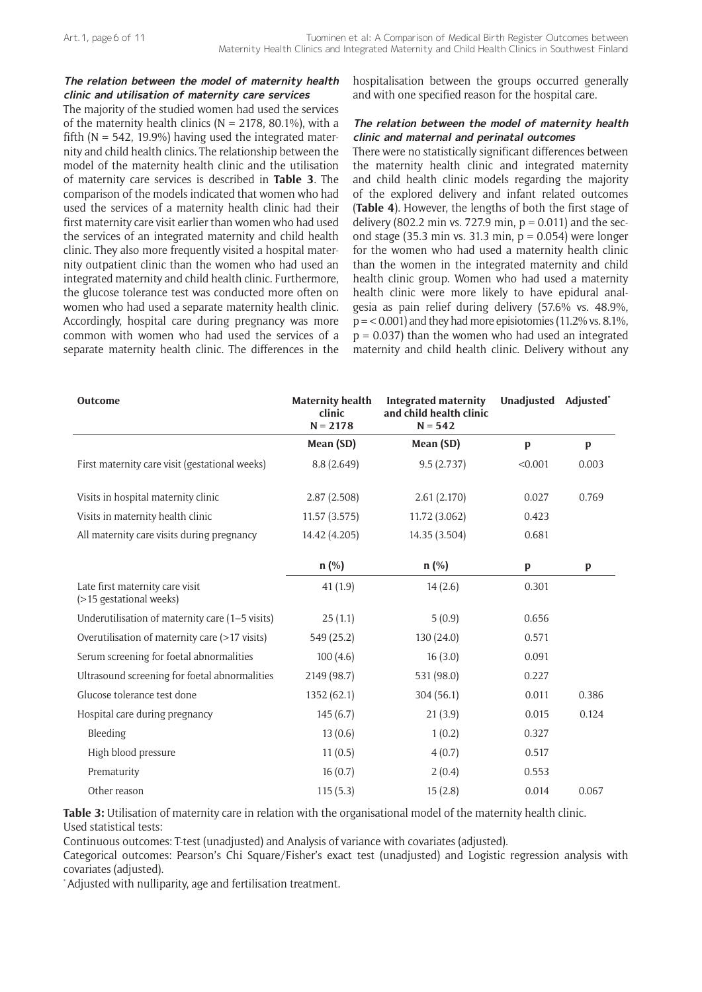## **The relation between the model of maternity health clinic and utilisation of maternity care services**

The majority of the studied women had used the services of the maternity health clinics ( $N = 2178$ , 80.1%), with a fifth ( $N = 542$ , 19.9%) having used the integrated maternity and child health clinics. The relationship between the model of the maternity health clinic and the utilisation of maternity care services is described in **Table 3**. The comparison of the models indicated that women who had used the services of a maternity health clinic had their first maternity care visit earlier than women who had used the services of an integrated maternity and child health clinic. They also more frequently visited a hospital maternity outpatient clinic than the women who had used an integrated maternity and child health clinic. Furthermore, the glucose tolerance test was conducted more often on women who had used a separate maternity health clinic. Accordingly, hospital care during pregnancy was more common with women who had used the services of a separate maternity health clinic. The differences in the hospitalisation between the groups occurred generally and with one specified reason for the hospital care.

## **The relation between the model of maternity health clinic and maternal and perinatal outcomes**

There were no statistically significant differences between the maternity health clinic and integrated maternity and child health clinic models regarding the majority of the explored delivery and infant related outcomes (**Table 4**). However, the lengths of both the first stage of delivery (802.2 min vs. 727.9 min,  $p = 0.011$ ) and the second stage (35.3 min vs. 31.3 min,  $p = 0.054$ ) were longer for the women who had used a maternity health clinic than the women in the integrated maternity and child health clinic group. Women who had used a maternity health clinic were more likely to have epidural analgesia as pain relief during delivery (57.6% vs. 48.9%,  $p = 0.001$  and they had more episiotomies (11.2% vs. 8.1%,  $p = 0.037$ ) than the women who had used an integrated maternity and child health clinic. Delivery without any

| Outcome                                                    | <b>Maternity health</b><br>clinic<br>$N = 2178$ | <b>Integrated maternity</b><br>and child health clinic<br>$N = 542$ | Unadjusted Adjusted* |       |
|------------------------------------------------------------|-------------------------------------------------|---------------------------------------------------------------------|----------------------|-------|
|                                                            | Mean (SD)                                       | Mean (SD)                                                           | p                    | p     |
| First maternity care visit (gestational weeks)             | 8.8(2.649)                                      | 9.5(2.737)                                                          | < 0.001              | 0.003 |
| Visits in hospital maternity clinic                        | 2.87(2.508)                                     | 2.61(2.170)                                                         | 0.027                | 0.769 |
| Visits in maternity health clinic                          | 11.57(3.575)                                    | 11.72 (3.062)                                                       | 0.423                |       |
| All maternity care visits during pregnancy                 | 14.42 (4.205)                                   | 14.35 (3.504)                                                       | 0.681                |       |
|                                                            | $n$ (%)                                         | $n$ (%)                                                             | p                    | p     |
| Late first maternity care visit<br>(>15 gestational weeks) | 41(1.9)                                         | 14(2.6)                                                             | 0.301                |       |
| Underutilisation of maternity care (1-5 visits)            | 25(1.1)                                         | 5(0.9)                                                              | 0.656                |       |
| Overutilisation of maternity care (>17 visits)             | 549 (25.2)                                      | 130(24.0)                                                           | 0.571                |       |
| Serum screening for foetal abnormalities                   | 100(4.6)                                        | 16(3.0)                                                             | 0.091                |       |
| Ultrasound screening for foetal abnormalities              | 2149 (98.7)                                     | 531 (98.0)                                                          | 0.227                |       |
| Glucose tolerance test done                                | 1352 (62.1)                                     | 304(56.1)                                                           | 0.011                | 0.386 |
| Hospital care during pregnancy                             | 145(6.7)                                        | 21(3.9)                                                             | 0.015                | 0.124 |
| Bleeding                                                   | 13(0.6)                                         | 1(0.2)                                                              | 0.327                |       |
| High blood pressure                                        | 11(0.5)                                         | 4(0.7)                                                              | 0.517                |       |
| Prematurity                                                | 16(0.7)                                         | 2(0.4)                                                              | 0.553                |       |
| Other reason                                               | 115(5.3)                                        | 15(2.8)                                                             | 0.014                | 0.067 |

**Table 3:** Utilisation of maternity care in relation with the organisational model of the maternity health clinic. Used statistical tests:

Continuous outcomes: T-test (unadjusted) and Analysis of variance with covariates (adjusted).

Categorical outcomes: Pearson's Chi Square/Fisher's exact test (unadjusted) and Logistic regression analysis with covariates (adjusted).

\* Adjusted with nulliparity, age and fertilisation treatment.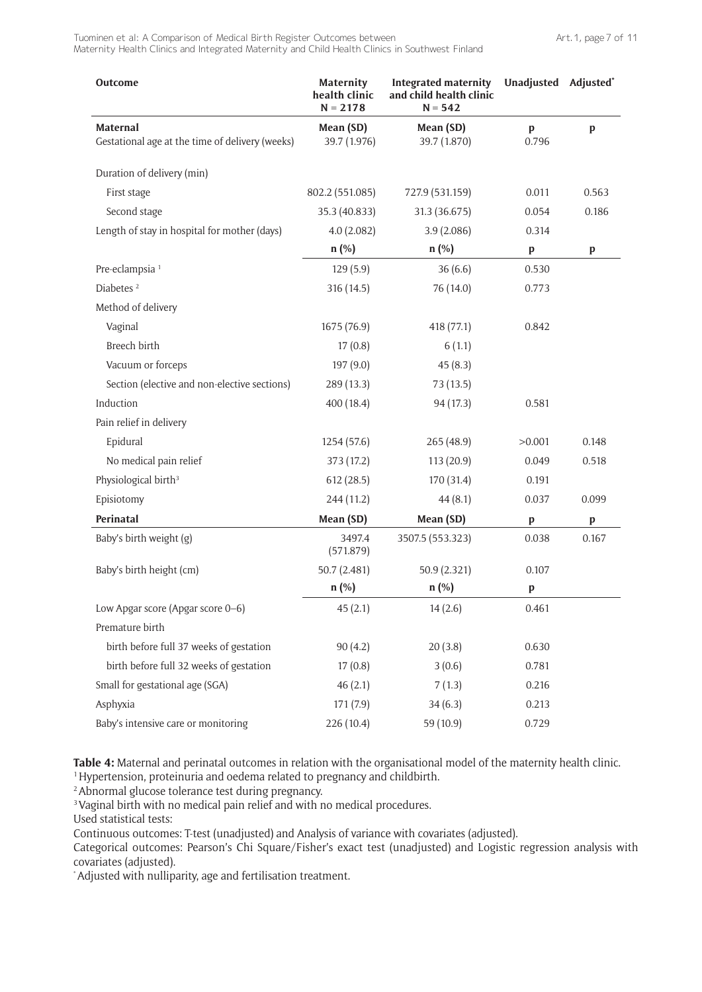Tuominen et al: A Comparison of Medical Birth Register Outcomes between Maternity Health Clinics and Integrated Maternity and Child Health Clinics in Southwest Finland

| Outcome                                                     | Maternity<br>health clinic<br>$N = 2178$ | <b>Integrated maternity</b><br>and child health clinic<br>$N = 542$ | Unadjusted Adjusted* |              |
|-------------------------------------------------------------|------------------------------------------|---------------------------------------------------------------------|----------------------|--------------|
| Maternal<br>Gestational age at the time of delivery (weeks) | Mean (SD)<br>39.7 (1.976)                | Mean (SD)<br>39.7 (1.870)                                           | p<br>0.796           | $\mathbf{p}$ |
| Duration of delivery (min)                                  |                                          |                                                                     |                      |              |
| First stage                                                 | 802.2 (551.085)                          | 727.9 (531.159)                                                     | 0.011                | 0.563        |
| Second stage                                                | 35.3 (40.833)                            | 31.3 (36.675)                                                       | 0.054                | 0.186        |
| Length of stay in hospital for mother (days)                | 4.0(2.082)                               | 3.9(2.086)                                                          | 0.314                |              |
|                                                             | $n$ (%)                                  | $n$ (%)                                                             | p                    | $\mathbf p$  |
| Pre-eclampsia <sup>1</sup>                                  | 129(5.9)                                 | 36(6.6)                                                             | 0.530                |              |
| Diabetes <sup>2</sup>                                       | 316 (14.5)                               | 76 (14.0)                                                           | 0.773                |              |
| Method of delivery                                          |                                          |                                                                     |                      |              |
| Vaginal                                                     | 1675 (76.9)                              | 418 (77.1)                                                          | 0.842                |              |
| Breech birth                                                | 17(0.8)                                  | 6(1.1)                                                              |                      |              |
| Vacuum or forceps                                           | 197 (9.0)                                | 45(8.3)                                                             |                      |              |
| Section (elective and non-elective sections)                | 289 (13.3)                               | 73(13.5)                                                            |                      |              |
| Induction                                                   | 400 (18.4)                               | 94 (17.3)                                                           | 0.581                |              |
| Pain relief in delivery                                     |                                          |                                                                     |                      |              |
| Epidural                                                    | 1254 (57.6)                              | 265(48.9)                                                           | >0.001               | 0.148        |
| No medical pain relief                                      | 373 (17.2)                               | 113(20.9)                                                           | 0.049                | 0.518        |
| Physiological birth <sup>3</sup>                            | 612(28.5)                                | 170 (31.4)                                                          | 0.191                |              |
| Episiotomy                                                  | 244 (11.2)                               | 44(8.1)                                                             | 0.037                | 0.099        |
| Perinatal                                                   | Mean (SD)                                | Mean (SD)                                                           | $\mathbf p$          | p            |
| Baby's birth weight (g)                                     | 3497.4<br>(571.879)                      | 3507.5 (553.323)                                                    | 0.038                | 0.167        |
| Baby's birth height (cm)                                    | 50.7 (2.481)                             | 50.9 (2.321)                                                        | 0.107                |              |
|                                                             | $n$ (%)                                  | $n$ (%)                                                             | $\mathbf p$          |              |
| Low Apgar score (Apgar score 0-6)                           | 45(2.1)                                  | 14(2.6)                                                             | 0.461                |              |
| Premature birth                                             |                                          |                                                                     |                      |              |
| birth before full 37 weeks of gestation                     | 90(4.2)                                  | 20(3.8)                                                             | 0.630                |              |
| birth before full 32 weeks of gestation                     | 17(0.8)                                  | 3(0.6)                                                              | 0.781                |              |
| Small for gestational age (SGA)                             | 46(2.1)                                  | 7(1.3)                                                              | 0.216                |              |
| Asphyxia                                                    | 171 (7.9)                                | 34(6.3)                                                             | 0.213                |              |
| Baby's intensive care or monitoring                         | 226 (10.4)                               | 59 (10.9)                                                           | 0.729                |              |

**Table 4:** Maternal and perinatal outcomes in relation with the organisational model of the maternity health clinic. <sup>1</sup> Hypertension, proteinuria and oedema related to pregnancy and childbirth.

<sup>2</sup> Abnormal glucose tolerance test during pregnancy.

<sup>3</sup> Vaginal birth with no medical pain relief and with no medical procedures.

Used statistical tests:

Continuous outcomes: T-test (unadjusted) and Analysis of variance with covariates (adjusted).

Categorical outcomes: Pearson's Chi Square/Fisher's exact test (unadjusted) and Logistic regression analysis with covariates (adjusted).

\* Adjusted with nulliparity, age and fertilisation treatment.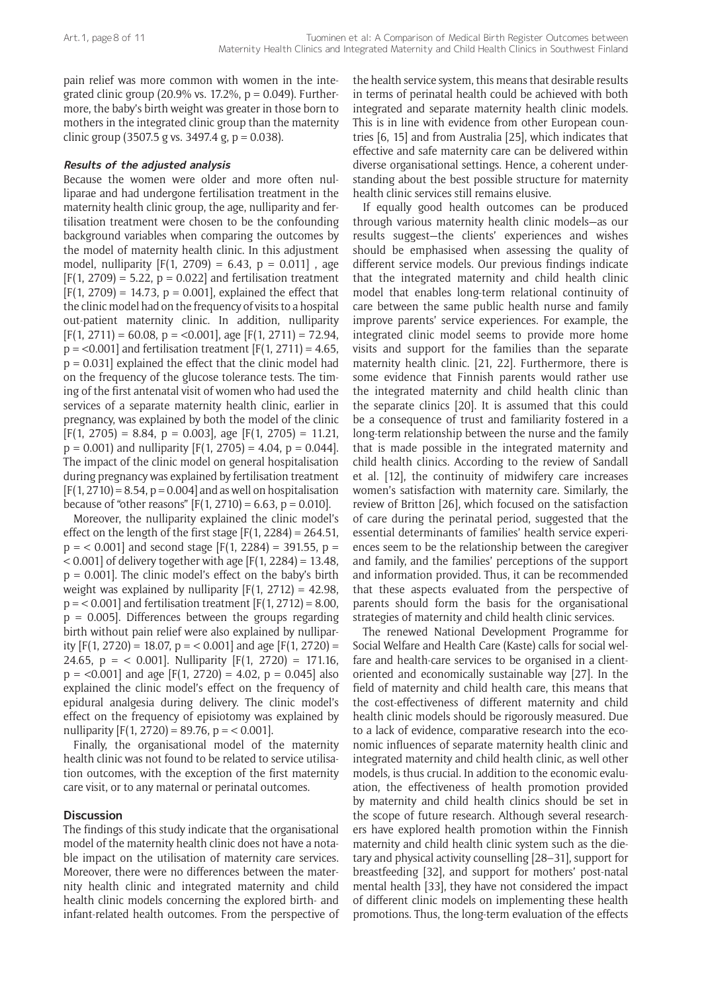pain relief was more common with women in the integrated clinic group (20.9% vs. 17.2%,  $p = 0.049$ ). Furthermore, the baby's birth weight was greater in those born to mothers in the integrated clinic group than the maternity clinic group (3507.5 g vs. 3497.4 g,  $p = 0.038$ ).

## **Results of the adjusted analysis**

Because the women were older and more often nulliparae and had undergone fertilisation treatment in the maternity health clinic group, the age, nulliparity and fertilisation treatment were chosen to be the confounding background variables when comparing the outcomes by the model of maternity health clinic. In this adjustment model, nulliparity  $[F(1, 2709) = 6.43, p = 0.011]$ , age  $[F(1, 2709) = 5.22, p = 0.022]$  and fertilisation treatment  $[F(1, 2709) = 14.73, p = 0.001]$ , explained the effect that the clinic model had on the frequency of visits to a hospital out-patient maternity clinic. In addition, nulliparity  $[F(1, 2711) = 60.08, p = < 0.001]$ , age  $[F(1, 2711) = 72.94$ ,  $p = 0.001$  and fertilisation treatment  $F(1, 2711) = 4.65$ ,  $p = 0.031$ ] explained the effect that the clinic model had on the frequency of the glucose tolerance tests. The timing of the first antenatal visit of women who had used the services of a separate maternity health clinic, earlier in pregnancy, was explained by both the model of the clinic  $[F(1, 2705) = 8.84, p = 0.003]$ , age  $[F(1, 2705) = 11.21$ ,  $p = 0.001$ ) and nulliparity  $[F(1, 2705) = 4.04, p = 0.044]$ . The impact of the clinic model on general hospitalisation during pregnancy was explained by fertilisation treatment  $[F(1, 2710) = 8.54, p = 0.004]$  and as well on hospitalisation because of "other reasons"  $[F(1, 2710) = 6.63, p = 0.010].$ 

Moreover, the nulliparity explained the clinic model's effect on the length of the first stage  $[F(1, 2284) = 264.51]$ ,  $p = 0.001$ ] and second stage [F(1, 2284) = 391.55,  $p = 1$  $< 0.001$  of delivery together with age [F(1, 2284) = 13.48,  $p = 0.001$ . The clinic model's effect on the baby's birth weight was explained by nulliparity  $[F(1, 2712) = 42.98$ ,  $p = 0.001$ ] and fertilisation treatment [F(1, 2712) = 8.00,  $p = 0.005$ ]. Differences between the groups regarding birth without pain relief were also explained by nulliparity  $[F(1, 2720) = 18.07, p = 0.001]$  and age  $[F(1, 2720) =$ 24.65,  $p = 0.001$ . Nulliparity  $[F(1, 2720) = 171.16]$ ,  $p = 0.001$  and age  $[F(1, 2720) = 4.02, p = 0.045]$  also explained the clinic model's effect on the frequency of epidural analgesia during delivery. The clinic model's effect on the frequency of episiotomy was explained by nulliparity  $[F(1, 2720) = 89.76, p = 0.001].$ 

Finally, the organisational model of the maternity health clinic was not found to be related to service utilisation outcomes, with the exception of the first maternity care visit, or to any maternal or perinatal outcomes.

## **Discussion**

The findings of this study indicate that the organisational model of the maternity health clinic does not have a notable impact on the utilisation of maternity care services. Moreover, there were no differences between the maternity health clinic and integrated maternity and child health clinic models concerning the explored birth- and infant-related health outcomes. From the perspective of the health service system, this means that desirable results in terms of perinatal health could be achieved with both integrated and separate maternity health clinic models. This is in line with evidence from other European countries [6, 15] and from Australia [25], which indicates that effective and safe maternity care can be delivered within diverse organisational settings. Hence, a coherent understanding about the best possible structure for maternity health clinic services still remains elusive.

If equally good health outcomes can be produced through various maternity health clinic models—as our results suggest—the clients' experiences and wishes should be emphasised when assessing the quality of different service models. Our previous findings indicate that the integrated maternity and child health clinic model that enables long-term relational continuity of care between the same public health nurse and family improve parents' service experiences. For example, the integrated clinic model seems to provide more home visits and support for the families than the separate maternity health clinic. [21, 22]. Furthermore, there is some evidence that Finnish parents would rather use the integrated maternity and child health clinic than the separate clinics [20]. It is assumed that this could be a consequence of trust and familiarity fostered in a long-term relationship between the nurse and the family that is made possible in the integrated maternity and child health clinics. According to the review of Sandall et al. [12], the continuity of midwifery care increases women's satisfaction with maternity care. Similarly, the review of Britton [26], which focused on the satisfaction of care during the perinatal period, suggested that the essential determinants of families' health service experiences seem to be the relationship between the caregiver and family, and the families' perceptions of the support and information provided. Thus, it can be recommended that these aspects evaluated from the perspective of parents should form the basis for the organisational strategies of maternity and child health clinic services.

The renewed National Development Programme for Social Welfare and Health Care (Kaste) calls for social welfare and health-care services to be organised in a clientoriented and economically sustainable way [27]. In the field of maternity and child health care, this means that the cost-effectiveness of different maternity and child health clinic models should be rigorously measured. Due to a lack of evidence, comparative research into the economic influences of separate maternity health clinic and integrated maternity and child health clinic, as well other models, is thus crucial. In addition to the economic evaluation, the effectiveness of health promotion provided by maternity and child health clinics should be set in the scope of future research. Although several researchers have explored health promotion within the Finnish maternity and child health clinic system such as the dietary and physical activity counselling [28–31], support for breastfeeding [32], and support for mothers' post-natal mental health [33], they have not considered the impact of different clinic models on implementing these health promotions. Thus, the long-term evaluation of the effects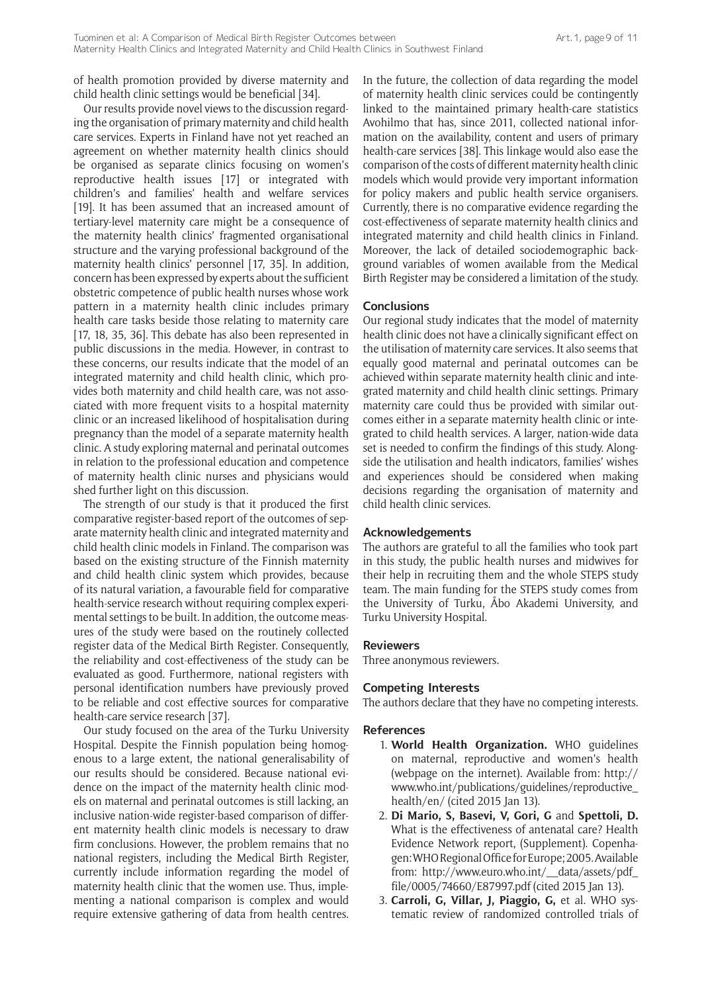of health promotion provided by diverse maternity and child health clinic settings would be beneficial [34].

Our results provide novel views to the discussion regarding the organisation of primary maternity and child health care services. Experts in Finland have not yet reached an agreement on whether maternity health clinics should be organised as separate clinics focusing on women's reproductive health issues [17] or integrated with children's and families' health and welfare services [19]. It has been assumed that an increased amount of tertiary-level maternity care might be a consequence of the maternity health clinics' fragmented organisational structure and the varying professional background of the maternity health clinics' personnel [17, 35]. In addition, concern has been expressed by experts about the sufficient obstetric competence of public health nurses whose work pattern in a maternity health clinic includes primary health care tasks beside those relating to maternity care [17, 18, 35, 36]. This debate has also been represented in public discussions in the media. However, in contrast to these concerns, our results indicate that the model of an integrated maternity and child health clinic, which provides both maternity and child health care, was not associated with more frequent visits to a hospital maternity clinic or an increased likelihood of hospitalisation during pregnancy than the model of a separate maternity health clinic. A study exploring maternal and perinatal outcomes in relation to the professional education and competence of maternity health clinic nurses and physicians would shed further light on this discussion.

The strength of our study is that it produced the first comparative register-based report of the outcomes of separate maternity health clinic and integrated maternity and child health clinic models in Finland. The comparison was based on the existing structure of the Finnish maternity and child health clinic system which provides, because of its natural variation, a favourable field for comparative health-service research without requiring complex experimental settings to be built. In addition, the outcome measures of the study were based on the routinely collected register data of the Medical Birth Register. Consequently, the reliability and cost-effectiveness of the study can be evaluated as good. Furthermore, national registers with personal identification numbers have previously proved to be reliable and cost effective sources for comparative health-care service research [37].

Our study focused on the area of the Turku University Hospital. Despite the Finnish population being homogenous to a large extent, the national generalisability of our results should be considered. Because national evidence on the impact of the maternity health clinic models on maternal and perinatal outcomes is still lacking, an inclusive nation-wide register-based comparison of different maternity health clinic models is necessary to draw firm conclusions. However, the problem remains that no national registers, including the Medical Birth Register, currently include information regarding the model of maternity health clinic that the women use. Thus, implementing a national comparison is complex and would require extensive gathering of data from health centres. In the future, the collection of data regarding the model of maternity health clinic services could be contingently linked to the maintained primary health-care statistics Avohilmo that has, since 2011, collected national information on the availability, content and users of primary health-care services [38]. This linkage would also ease the comparison of the costs of different maternity health clinic models which would provide very important information for policy makers and public health service organisers. Currently, there is no comparative evidence regarding the cost-effectiveness of separate maternity health clinics and integrated maternity and child health clinics in Finland. Moreover, the lack of detailed sociodemographic background variables of women available from the Medical Birth Register may be considered a limitation of the study.

## **Conclusions**

Our regional study indicates that the model of maternity health clinic does not have a clinically significant effect on the utilisation of maternity care services. It also seems that equally good maternal and perinatal outcomes can be achieved within separate maternity health clinic and integrated maternity and child health clinic settings. Primary maternity care could thus be provided with similar outcomes either in a separate maternity health clinic or integrated to child health services. A larger, nation-wide data set is needed to confirm the findings of this study. Alongside the utilisation and health indicators, families' wishes and experiences should be considered when making decisions regarding the organisation of maternity and child health clinic services.

#### **Acknowledgements**

The authors are grateful to all the families who took part in this study, the public health nurses and midwives for their help in recruiting them and the whole STEPS study team. The main funding for the STEPS study comes from the University of Turku, Åbo Akademi University, and Turku University Hospital.

#### **Reviewers**

Three anonymous reviewers.

## **Competing Interests**

The authors declare that they have no competing interests.

#### **References**

- 1. **World Health Organization.** WHO guidelines on maternal, reproductive and women's health (webpage on the internet). Available from: [http://](http://www.who.int/publications/guidelines/reproductive_health/en/) [www.who.int/publications/guidelines/reproductive\\_](http://www.who.int/publications/guidelines/reproductive_health/en/) [health/en/](http://www.who.int/publications/guidelines/reproductive_health/en/) (cited 2015 Jan 13).
- 2. **Di Mario, S, Basevi, V, Gori, G** and **Spettoli, D.** What is the effectiveness of antenatal care? Health Evidence Network report, (Supplement). Copenhagen: WHO Regional Office for Europe; 2005. Available from: [http://www.euro.who.int/\\_\\_data/assets/pdf\\_](http://www.euro.who.int/__data/assets/pdf_file/0005/74660/E87997.pdf) [file/0005/74660/E87997.pdf](http://www.euro.who.int/__data/assets/pdf_file/0005/74660/E87997.pdf) (cited 2015 Jan 13).
- 3. **Carroli, G, Villar, J, Piaggio, G,** et al. WHO systematic review of randomized controlled trials of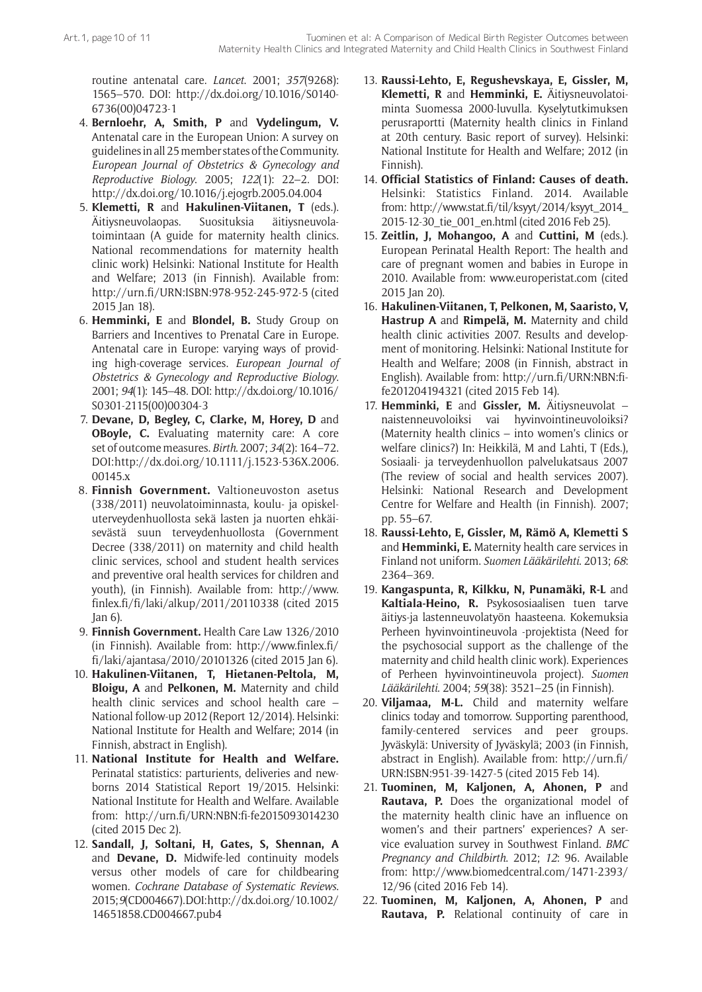routine antenatal care. *Lancet*. 2001; *357*(9268): 1565–570. DOI: [http://dx.doi.org/10.1016/S0140-](http://dx.doi.org/10.1016/S0140-6736%2800%2904723-1) [6736\(00\)04723-1](http://dx.doi.org/10.1016/S0140-6736%2800%2904723-1)

- 4. **Bernloehr, A, Smith, P** and **Vydelingum, V.** Antenatal care in the European Union: A survey on guidelines in all 25 member states of the Community. *European Journal of Obstetrics & Gynecology and Reproductive Biology*. 2005; *122*(1): 22–2. DOI: <http://dx.doi.org/10.1016/j.ejogrb.2005.04.004>
- 5. **Klemetti, R** and **Hakulinen-Viitanen, T** (eds.). Äitiysneuvolaopas. Suosituksia äitiysneuvolatoimintaan (A guide for maternity health clinics. National recommendations for maternity health clinic work) Helsinki: National Institute for Health and Welfare; 2013 (in Finnish). Available from: <http://urn.fi/URN:ISBN:978-952-245-972-5> (cited 2015 Jan 18).
- 6. **Hemminki, E** and **Blondel, B.** Study Group on Barriers and Incentives to Prenatal Care in Europe. Antenatal care in Europe: varying ways of providing high-coverage services. *European Journal of Obstetrics & Gynecology and Reproductive Biology*. 2001; *94*(1): 145–48. DOI: [http://dx.doi.org/10.1016/](http://dx.doi.org/10.1016/S0301-2115(00)00304-3) [S0301-2115\(00\)00304-3](http://dx.doi.org/10.1016/S0301-2115(00)00304-3)
- 7. **Devane, D, Begley, C, Clarke, M, Horey, D** and **OBoyle, C.** Evaluating maternity care: A core set of outcome measures. *Birth*. 2007; *34*(2): 164–72. DOI: [http://dx.doi.org/10.1111/j.1523-536X.2006.](http://dx.doi.org/10.1111/j.1523-536X.2006.00145.x) [00145.x](http://dx.doi.org/10.1111/j.1523-536X.2006.00145.x)
- 8. **Finnish Government.** Valtioneuvoston asetus (338/2011) neuvolatoiminnasta, koulu- ja opiskeluterveydenhuollosta sekä lasten ja nuorten ehkäisevästä suun terveydenhuollosta (Government Decree (338/2011) on maternity and child health clinic services, school and student health services and preventive oral health services for children and youth), (in Finnish). Available from: [http://www.](http://www.finlex.fi/fi/laki/alkup/2011/20110338) [finlex.fi/fi/laki/alkup/2011/20110338](http://www.finlex.fi/fi/laki/alkup/2011/20110338) (cited 2015 Jan 6).
- 9. **Finnish Government.** Health Care Law 1326/2010 (in Finnish). Available from: [http://www.finlex.fi/](http://www.finlex.fi/fi/laki/ajantasa/2010/20101326) [fi/laki/ajantasa/2010/20101326](http://www.finlex.fi/fi/laki/ajantasa/2010/20101326) (cited 2015 Jan 6).
- 10. **Hakulinen-Viitanen, T, Hietanen-Peltola, M, Bloigu, A** and **Pelkonen, M.** Maternity and child health clinic services and school health care – National follow-up 2012 (Report 12/2014). Helsinki: National Institute for Health and Welfare; 2014 (in Finnish, abstract in English).
- 11. **National Institute for Health and Welfare.** Perinatal statistics: parturients, deliveries and newborns 2014 Statistical Report 19/2015. Helsinki: National Institute for Health and Welfare. Available from: <http://urn.fi/URN:NBN:fi-fe2015093014230> (cited 2015 Dec 2).
- 12. **Sandall, J, Soltani, H, Gates, S, Shennan, A** and **Devane, D.** Midwife-led continuity models versus other models of care for childbearing women. *Cochrane Database of Systematic Reviews*. 2015; *9*(CD004667). DOI: [http://dx.doi.org/10.1002/](http://dx.doi.org/10.1002/14651858.CD004667.pub4) [14651858.CD004667.pub4](http://dx.doi.org/10.1002/14651858.CD004667.pub4)
- 13. **Raussi-Lehto, E, Regushevskaya, E, Gissler, M, Klemetti, R** and **Hemminki, E.** Äitiysneuvolatoiminta Suomessa 2000-luvulla. Kyselytutkimuksen perusraportti (Maternity health clinics in Finland at 20th century. Basic report of survey). Helsinki: National Institute for Health and Welfare; 2012 (in Finnish).
- 14. **Official Statistics of Finland: Causes of death.** Helsinki: Statistics Finland. 2014. Available from: [http://www.stat.fi/til/ksyyt/2014/ksyyt\\_2014\\_](http://www.stat.fi/til/ksyyt/2014/ksyyt_2014_2015-12-30_tie_001_en.html) [2015-12-30\\_tie\\_001\\_en.html](http://www.stat.fi/til/ksyyt/2014/ksyyt_2014_2015-12-30_tie_001_en.html) (cited 2016 Feb 25).
- 15. **Zeitlin, J, Mohangoo, A** and **Cuttini, M** (eds.). European Perinatal Health Report: The health and care of pregnant women and babies in Europe in 2010. Available from: [www.europeristat.com](http://www.europeristat.com) (cited 2015 Jan 20).
- 16. **Hakulinen-Viitanen, T, Pelkonen, M, Saaristo, V, Hastrup A** and **Rimpelä, M.** Maternity and child health clinic activities 2007. Results and development of monitoring. Helsinki: National Institute for Health and Welfare; 2008 (in Finnish, abstract in English). Available from: [http://urn.fi/URN:NBN:fi](http://urn.fi/URN:NBN:fi-fe201204194321)[fe201204194321](http://urn.fi/URN:NBN:fi-fe201204194321) (cited 2015 Feb 14).
- 17. **Hemminki, E** and **Gissler, M.** Äitiysneuvolat naistenneuvoloiksi vai hyvinvointineuvoloiksi? (Maternity health clinics – into women's clinics or welfare clinics?) In: Heikkilä, M and Lahti, T (Eds.), Sosiaali- ja terveydenhuollon palvelukatsaus 2007 (The review of social and health services 2007). Helsinki: National Research and Development Centre for Welfare and Health (in Finnish). 2007; pp. 55–67.
- 18. **Raussi-Lehto, E, Gissler, M, Rämö A, Klemetti S** and **Hemminki, E.** Maternity health care services in Finland not uniform. *Suomen Lääkärilehti*. 2013; *68*: 2364–369.
- 19. **Kangaspunta, R, Kilkku, N, Punamäki, R-L** and **Kaltiala-Heino, R.** Psykososiaalisen tuen tarve äitiys-ja lastenneuvolatyön haasteena. Kokemuksia Perheen hyvinvointineuvola -projektista (Need for the psychosocial support as the challenge of the maternity and child health clinic work). Experiences of Perheen hyvinvointineuvola project). *Suomen Lääkärilehti*. 2004; *59*(38): 3521–25 (in Finnish).
- 20. **Viljamaa, M-L.** Child and maternity welfare clinics today and tomorrow. Supporting parenthood, family-centered services and peer groups. Jyväskylä: University of Jyväskylä; 2003 (in Finnish, abstract in English). Available from: [http://urn.fi/](http://urn.fi/URN:ISBN:951-39-1427-5) [URN:ISBN:951-39-1427-5](http://urn.fi/URN:ISBN:951-39-1427-5) (cited 2015 Feb 14).
- 21. **Tuominen, M, Kaljonen, A, Ahonen, P** and **Rautava, P.** Does the organizational model of the maternity health clinic have an influence on women's and their partners' experiences? A service evaluation survey in Southwest Finland. *BMC Pregnancy and Childbirth*. 2012; *12*: 96. Available from: [http://www.biomedcentral.com/1471-2393/](http://www.biomedcentral.com/1471-2393/12/96) [12/96](http://www.biomedcentral.com/1471-2393/12/96) (cited 2016 Feb 14).
- 22. **Tuominen, M, Kaljonen, A, Ahonen, P** and **Rautava, P.** Relational continuity of care in